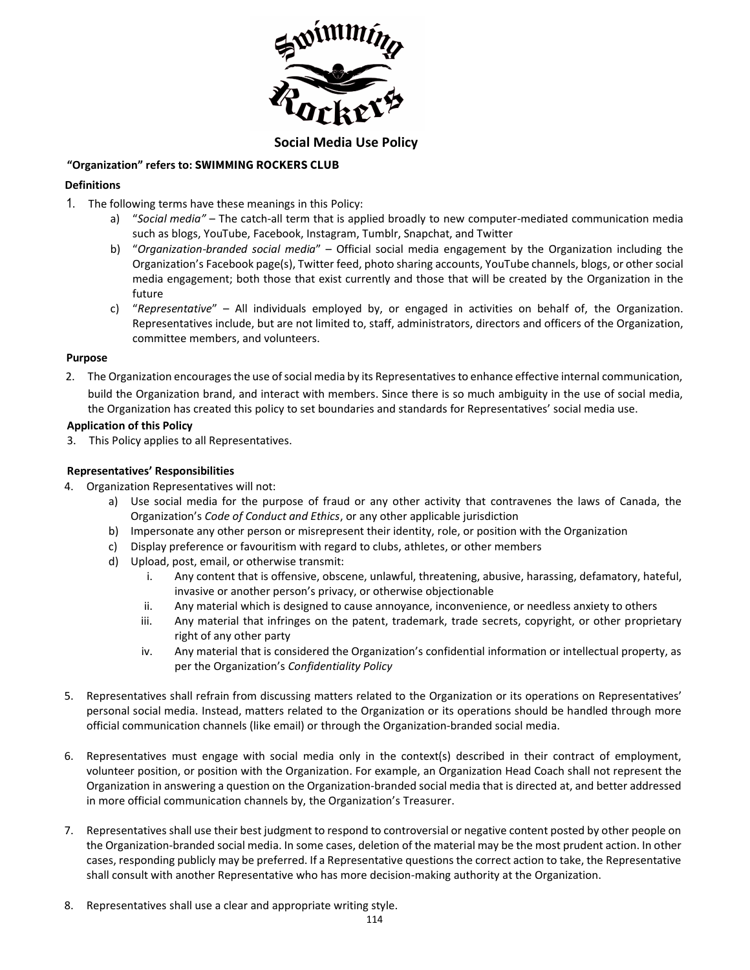

# **Social Media Use Policy**

# **"Organization" refers to: SWIMMING ROCKERS CLUB**

# **Definitions**

- 1. The following terms have these meanings in this Policy:
	- a) "*Social media"* The catch-all term that is applied broadly to new computer-mediated communication media such as blogs, YouTube, Facebook, Instagram, Tumblr, Snapchat, and Twitter
	- b) "*Organization-branded social media*" Official social media engagement by the Organization including the Organization's Facebook page(s), Twitter feed, photo sharing accounts, YouTube channels, blogs, or other social media engagement; both those that exist currently and those that will be created by the Organization in the future
	- c) "*Representative*" All individuals employed by, or engaged in activities on behalf of, the Organization. Representatives include, but are not limited to, staff, administrators, directors and officers of the Organization, committee members, and volunteers.

### **Purpose**

2. The Organization encourages the use of social media by its Representatives to enhance effective internal communication, build the Organization brand, and interact with members. Since there is so much ambiguity in the use of social media, the Organization has created this policy to set boundaries and standards for Representatives' social media use.

### **Application of this Policy**

3. This Policy applies to all Representatives.

### **Representatives' Responsibilities**

- 4. Organization Representatives will not:
	- a) Use social media for the purpose of fraud or any other activity that contravenes the laws of Canada, the Organization's *Code of Conduct and Ethics*, or any other applicable jurisdiction
	- b) Impersonate any other person or misrepresent their identity, role, or position with the Organization
	- c) Display preference or favouritism with regard to clubs, athletes, or other members
	- d) Upload, post, email, or otherwise transmit:
		- i. Any content that is offensive, obscene, unlawful, threatening, abusive, harassing, defamatory, hateful, invasive or another person's privacy, or otherwise objectionable
		- ii. Any material which is designed to cause annoyance, inconvenience, or needless anxiety to others
		- iii. Any material that infringes on the patent, trademark, trade secrets, copyright, or other proprietary right of any other party
		- iv. Any material that is considered the Organization's confidential information or intellectual property, as per the Organization's *Confidentiality Policy*
- 5. Representatives shall refrain from discussing matters related to the Organization or its operations on Representatives' personal social media. Instead, matters related to the Organization or its operations should be handled through more official communication channels (like email) or through the Organization-branded social media.
- 6. Representatives must engage with social media only in the context(s) described in their contract of employment, volunteer position, or position with the Organization. For example, an Organization Head Coach shall not represent the Organization in answering a question on the Organization-branded social media that is directed at, and better addressed in more official communication channels by, the Organization's Treasurer.
- 7. Representatives shall use their best judgment to respond to controversial or negative content posted by other people on the Organization-branded social media. In some cases, deletion of the material may be the most prudent action. In other cases, responding publicly may be preferred. If a Representative questions the correct action to take, the Representative shall consult with another Representative who has more decision-making authority at the Organization.
- 8. Representatives shall use a clear and appropriate writing style.